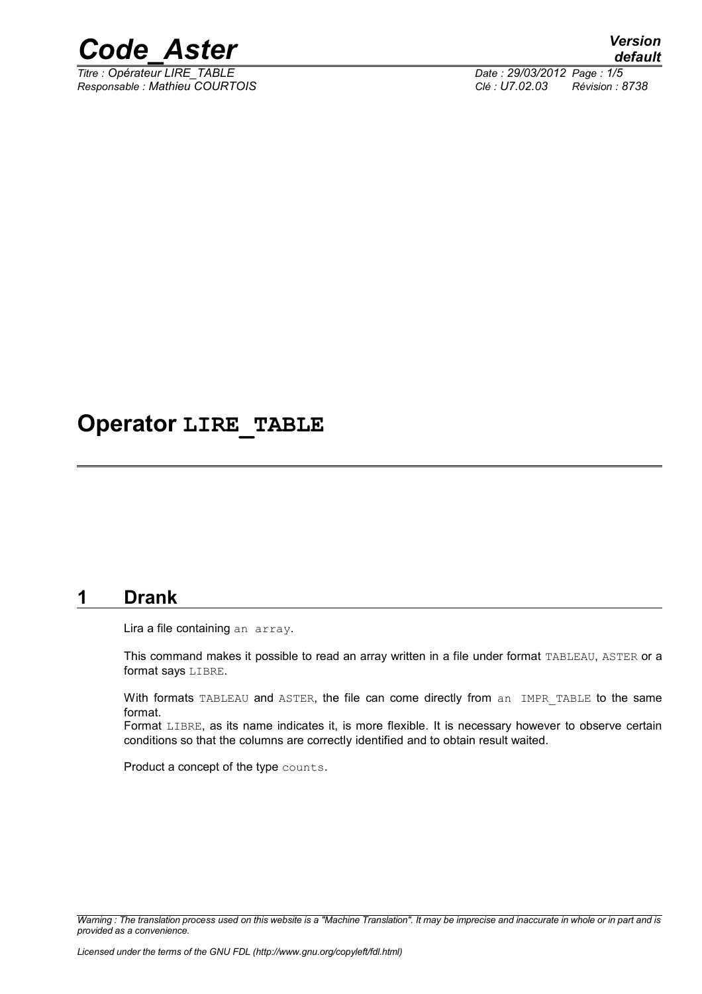

*Titre : Opérateur LIRE\_TABLE Date : 29/03/2012 Page : 1/5*

*Responsable : Mathieu COURTOIS Clé : U7.02.03 Révision : 8738*

# **Operator LIRE\_TABLE**

### **1 Drank**

Lira a file containing an array.

This command makes it possible to read an array written in a file under format TABLEAU, ASTER or a format says LIBRE.

With formats TABLEAU and ASTER, the file can come directly from an IMPR\_TABLE to the same format.

Format LIBRE, as its name indicates it, is more flexible. It is necessary however to observe certain conditions so that the columns are correctly identified and to obtain result waited.

Product a concept of the type counts.

*Warning : The translation process used on this website is a "Machine Translation". It may be imprecise and inaccurate in whole or in part and is provided as a convenience.*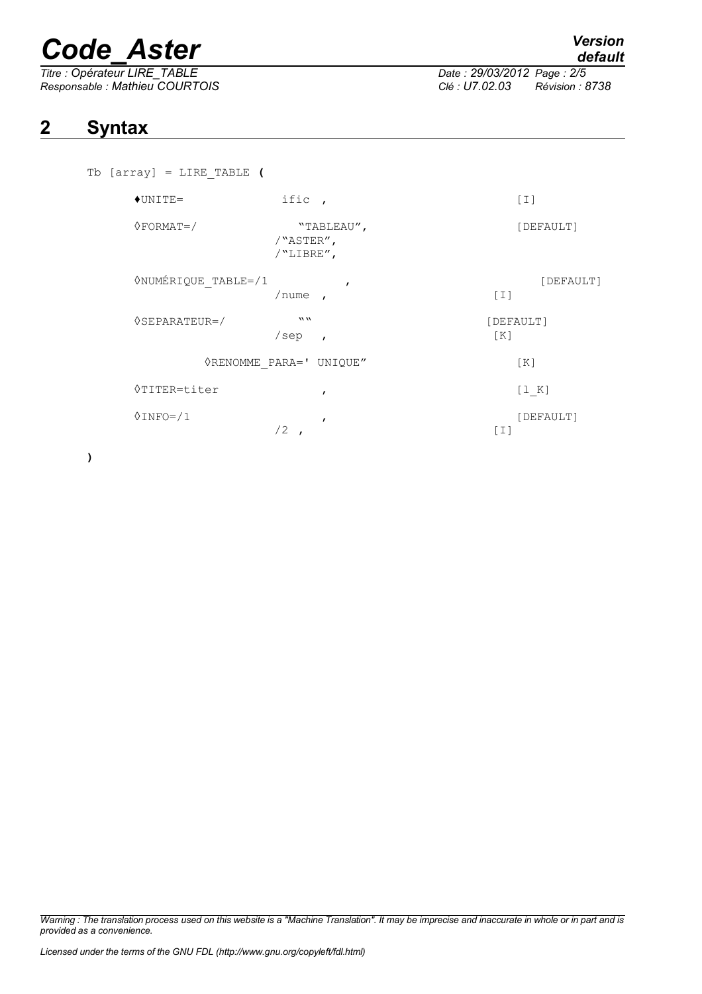# *Code\_Aster Version*

*Responsable : Mathieu COURTOIS Clé : U7.02.03 Révision : 8738*

*Titre : Opérateur LIRE\_TABLE Date : 29/03/2012 Page : 2/5*

## **2 Syntax**

| Tb $[array] = LINE TABLE ($              |                                            |                                |
|------------------------------------------|--------------------------------------------|--------------------------------|
| $+$ UNITE=                               | ific,                                      | $\lceil 1 \rceil$              |
| $\Diamond$ FORMAT=/                      | "TABLEAU",<br>/"ASTER",<br>/"LIBRE",       | [DEFAULT]                      |
| <b><i><u>ONUMÉRIQUE</u></i></b> TABLE=/1 | $\mathbf{r}$<br>/nume<br>$\overline{ }$    | [DEFAULT]<br>$\lceil 1 \rceil$ |
| $\Diamond$ SEPARATEUR=/                  | $\boldsymbol{m}$<br>/sep<br>$\overline{ }$ | [DEFAULT]<br>[K]               |
|                                          | <b>ORENOMME PARA=' UNIQUE"</b>             | [K]                            |
| <b>◊TITER=titer</b>                      | $\mathbf{r}$                               | [1 K]                          |
| $0$ INFO= $/1$                           | $\mathbf{r}$<br>/2                         | [DEFAULT]<br>$[1]$             |

**)**

*Warning : The translation process used on this website is a "Machine Translation". It may be imprecise and inaccurate in whole or in part and is provided as a convenience.*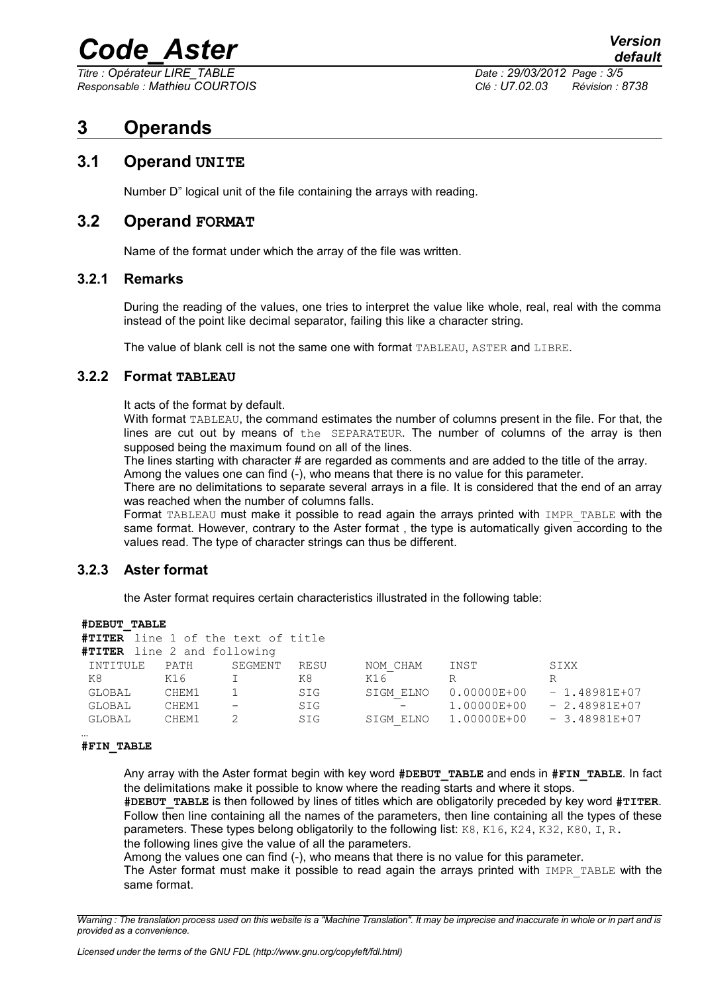# *Code\_Aster Version*

*Titre : Opérateur LIRE\_TABLE Date : 29/03/2012 Page : 3/5*

*Responsable : Mathieu COURTOIS Clé : U7.02.03 Révision : 8738*

### **3 Operands**

### **3.1 Operand UNITE**

Number D" logical unit of the file containing the arrays with reading.

### **3.2 Operand FORMAT**

Name of the format under which the array of the file was written.

### **3.2.1 Remarks**

During the reading of the values, one tries to interpret the value like whole, real, real with the comma instead of the point like decimal separator, failing this like a character string.

The value of blank cell is not the same one with format TABLEAU, ASTER and LIBRE.

#### **3.2.2 Format TABLEAU**

It acts of the format by default.

With format TABLEAU, the command estimates the number of columns present in the file. For that, the lines are cut out by means of the SEPARATEUR. The number of columns of the array is then supposed being the maximum found on all of the lines.

The lines starting with character # are regarded as comments and are added to the title of the array.

Among the values one can find (-), who means that there is no value for this parameter. There are no delimitations to separate several arrays in a file. It is considered that the end of an array was reached when the number of columns falls.

Format TABLEAU must make it possible to read again the arrays printed with IMPR TABLE with the same format. However, contrary to the Aster format , the type is automatically given according to the values read. The type of character strings can thus be different.

### **3.2.3 Aster format**

the Aster format requires certain characteristics illustrated in the following table:

| #DEBUT TABLE |  |
|--------------|--|
|              |  |

| #TITER line 1 of the text of title |       |                          |      |           |                                     |                |
|------------------------------------|-------|--------------------------|------|-----------|-------------------------------------|----------------|
| <b>#TITER</b> line 2 and following |       |                          |      |           |                                     |                |
| INTITULE                           | PATH  | SEGMENT                  | RESU | NOM CHAM  | INST                                | SIXX           |
| K8                                 | K16   |                          | K8.  | K16       | R                                   | R              |
| GLOBAL                             | CHEM1 |                          | SIG  | SIGM ELNO | 0.00000E+00                         | $-1.48981E+07$ |
| GLOBAL                             | CHEM1 | $\overline{\phantom{m}}$ | SIG  |           | 1.00000E+00                         | $-2.48981E+07$ |
| GLOBAL                             | CHEM1 |                          | SIG  |           | SIGM ELNO 1.00000E+00 - 3.48981E+07 |                |
|                                    |       |                          |      |           |                                     |                |

#### … **#FIN\_TABLE**

Any array with the Aster format begin with key word **#DEBUT\_TABLE** and ends in **#FIN\_TABLE**. In fact the delimitations make it possible to know where the reading starts and where it stops.

**#DEBUT\_TABLE** is then followed by lines of titles which are obligatorily preceded by key word **#TITER**. Follow then line containing all the names of the parameters, then line containing all the types of these parameters. These types belong obligatorily to the following list: K8, K16, K24, K32, K80, I, R. the following lines give the value of all the parameters.

Among the values one can find (-), who means that there is no value for this parameter.

The Aster format must make it possible to read again the arrays printed with IMPR TABLE with the same format.

*Warning : The translation process used on this website is a "Machine Translation". It may be imprecise and inaccurate in whole or in part and is provided as a convenience.*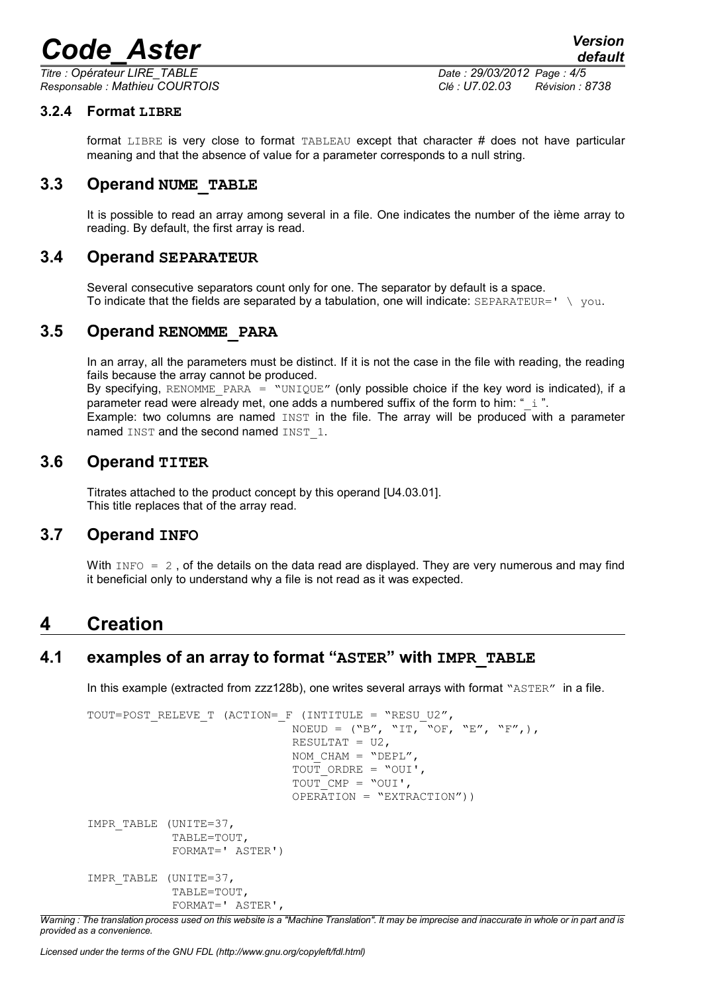# *Code\_Aster Version*

*Titre : Opérateur LIRE\_TABLE Date : 29/03/2012 Page : 4/5 Responsable : Mathieu COURTOIS Clé : U7.02.03 Révision : 8738*

### **3.2.4 Format LIBRE**

format LIBRE is very close to format TABLEAU except that character # does not have particular meaning and that the absence of value for a parameter corresponds to a null string.

### **3.3 Operand NUME\_TABLE**

It is possible to read an array among several in a file. One indicates the number of the ième array to reading. By default, the first array is read.

### **3.4 Operand SEPARATEUR**

Several consecutive separators count only for one. The separator by default is a space. To indicate that the fields are separated by a tabulation, one will indicate:  $SEPARATEUR = ' \ \lor you.$ 

### **3.5 Operand RENOMME\_PARA**

In an array, all the parameters must be distinct. If it is not the case in the file with reading, the reading fails because the array cannot be produced.

By specifying, RENOMME PARA = "UNIQUE" (only possible choice if the key word is indicated), if a parameter read were already met, one adds a numbered suffix of the form to him: " $\pm$  ". Example: two columns are named INST in the file. The array will be produced with a parameter named INST and the second named INST 1.

### **3.6 Operand TITER**

Titrates attached to the product concept by this operand [U4.03.01]. This title replaces that of the array read.

### **3.7 Operand INFO**

With  $INFO = 2$ . of the details on the data read are displayed. They are very numerous and may find it beneficial only to understand why a file is not read as it was expected.

### **4 Creation**

### **4.1 examples of an array to format "ASTER" with IMPR\_TABLE**

In this example (extracted from zzz128b), one writes several arrays with format "ASTER" in a file.

```
TOUT=POST RELEVE T (ACTION= F (INTITULE = "RESU U2",
                               NOEUD = ("B", "IT, "OF, "E", "F",),
                               RESULTAT = U2,
                               NOM CHAM = "DEPL",
                               TOUT ORDRE = "OUI',
                               TOUT CMP = "OUI',
                                OPERATION = "EXTRACTION"))
IMPR_TABLE (UNITE=37, 
             TABLE=TOUT, 
             FORMAT=' ASTER')
IMPR_TABLE (UNITE=37, 
             TABLE=TOUT, 
             FORMAT=' ASTER',
```
*Warning : The translation process used on this website is a "Machine Translation". It may be imprecise and inaccurate in whole or in part and is provided as a convenience.*